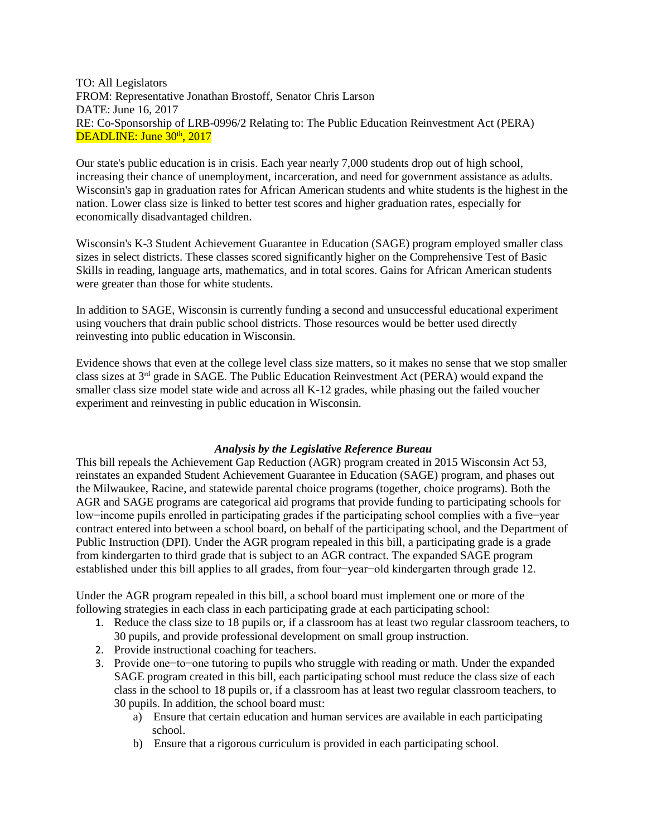TO: All Legislators FROM: Representative Jonathan Brostoff, Senator Chris Larson DATE: June 16, 2017 RE: Co-Sponsorship of LRB-0996/2 Relating to: The Public Education Reinvestment Act (PERA) DEADLINE: June  $30<sup>th</sup>$ ,  $2017$ 

Our state's public education is in crisis. Each year nearly 7,000 students drop out of high school, increasing their chance of unemployment, incarceration, and need for government assistance as adults. Wisconsin's gap in graduation rates for African American students and white students is the highest in the nation. Lower class size is linked to better test scores and higher graduation rates, especially for economically disadvantaged children.

Wisconsin's K-3 Student Achievement Guarantee in Education (SAGE) program employed smaller class sizes in select districts. These classes scored significantly higher on the Comprehensive Test of Basic Skills in reading, language arts, mathematics, and in total scores. Gains for African American students were greater than those for white students.

In addition to SAGE, Wisconsin is currently funding a second and unsuccessful educational experiment using vouchers that drain public school districts. Those resources would be better used directly reinvesting into public education in Wisconsin.

Evidence shows that even at the college level class size matters, so it makes no sense that we stop smaller class sizes at  $3<sup>rd</sup>$  grade in SAGE. The Public Education Reinvestment Act (PERA) would expand the smaller class size model state wide and across all K-12 grades, while phasing out the failed voucher experiment and reinvesting in public education in Wisconsin.

## *Analysis by the Legislative Reference Bureau*

This bill repeals the Achievement Gap Reduction (AGR) program created in 2015 Wisconsin Act 53, reinstates an expanded Student Achievement Guarantee in Education (SAGE) program, and phases out the Milwaukee, Racine, and statewide parental choice programs (together, choice programs). Both the AGR and SAGE programs are categorical aid programs that provide funding to participating schools for low−income pupils enrolled in participating grades if the participating school complies with a five−year contract entered into between a school board, on behalf of the participating school, and the Department of Public Instruction (DPI). Under the AGR program repealed in this bill, a participating grade is a grade from kindergarten to third grade that is subject to an AGR contract. The expanded SAGE program established under this bill applies to all grades, from four−year−old kindergarten through grade 12.

Under the AGR program repealed in this bill, a school board must implement one or more of the following strategies in each class in each participating grade at each participating school:

- 1. Reduce the class size to 18 pupils or, if a classroom has at least two regular classroom teachers, to 30 pupils, and provide professional development on small group instruction.
- 2. Provide instructional coaching for teachers.
- 3. Provide one−to−one tutoring to pupils who struggle with reading or math. Under the expanded SAGE program created in this bill, each participating school must reduce the class size of each class in the school to 18 pupils or, if a classroom has at least two regular classroom teachers, to 30 pupils. In addition, the school board must:
	- a) Ensure that certain education and human services are available in each participating school.
	- b) Ensure that a rigorous curriculum is provided in each participating school.